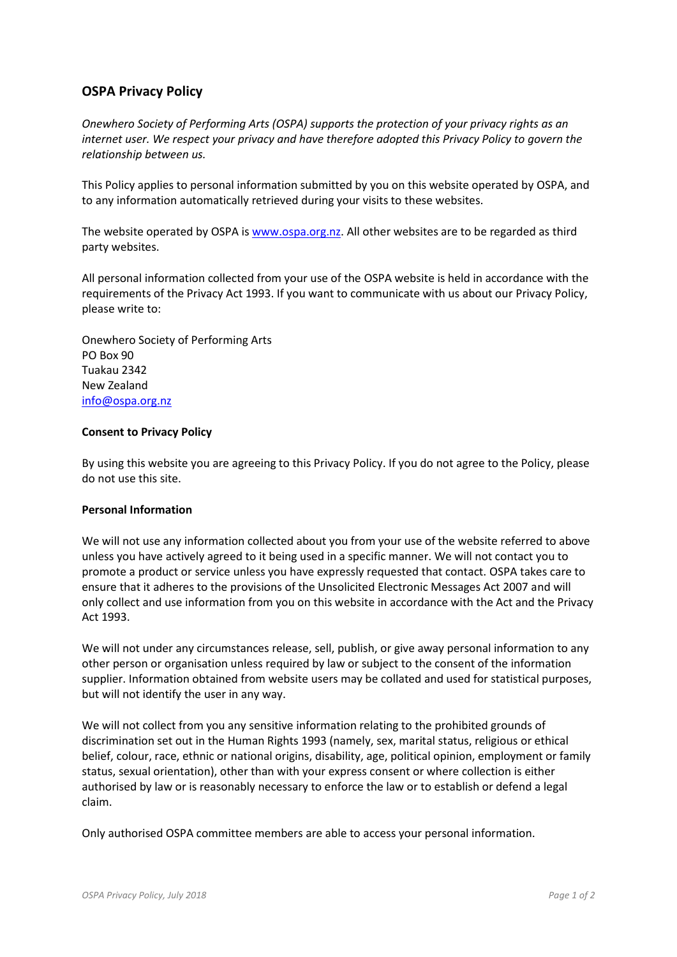# **OSPA Privacy Policy**

*Onewhero Society of Performing Arts (OSPA) supports the protection of your privacy rights as an internet user. We respect your privacy and have therefore adopted this Privacy Policy to govern the relationship between us.*

This Policy applies to personal information submitted by you on this website operated by OSPA, and to any information automatically retrieved during your visits to these websites.

The website operated by OSPA i[s www.ospa.org.nz.](http://www.ospa.org.nz/) All other websites are to be regarded as third party websites.

All personal information collected from your use of the OSPA website is held in accordance with the requirements of the Privacy Act 1993. If you want to communicate with us about our Privacy Policy, please write to:

Onewhero Society of Performing Arts PO Box 90 Tuakau 2342 New Zealand [info@ospa.org.nz](mailto:info@ospa.org.nz)

### **Consent to Privacy Policy**

By using this website you are agreeing to this Privacy Policy. If you do not agree to the Policy, please do not use this site.

#### **Personal Information**

We will not use any information collected about you from your use of the website referred to above unless you have actively agreed to it being used in a specific manner. We will not contact you to promote a product or service unless you have expressly requested that contact. OSPA takes care to ensure that it adheres to the provisions of the Unsolicited Electronic Messages Act 2007 and will only collect and use information from you on this website in accordance with the Act and the Privacy Act 1993.

We will not under any circumstances release, sell, publish, or give away personal information to any other person or organisation unless required by law or subject to the consent of the information supplier. Information obtained from website users may be collated and used for statistical purposes, but will not identify the user in any way.

We will not collect from you any sensitive information relating to the prohibited grounds of discrimination set out in the Human Rights 1993 (namely, sex, marital status, religious or ethical belief, colour, race, ethnic or national origins, disability, age, political opinion, employment or family status, sexual orientation), other than with your express consent or where collection is either authorised by law or is reasonably necessary to enforce the law or to establish or defend a legal claim.

Only authorised OSPA committee members are able to access your personal information.